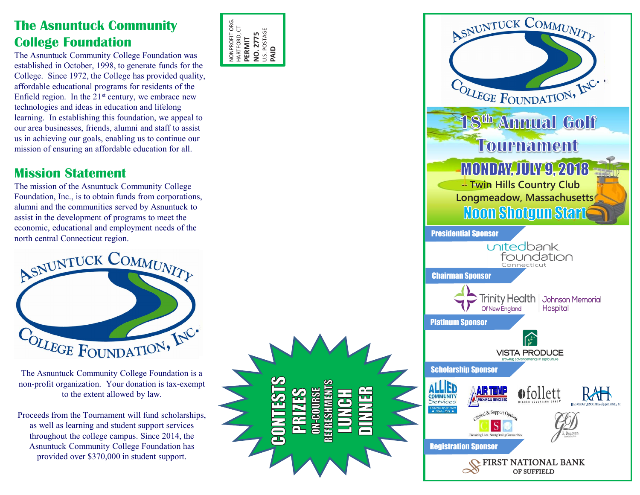## **The Asnuntuck Community College Foundation**

The Asnuntuck Community College Foundation was established in October, 1998, to generate funds for the College. Since 1972, the College has provided quality, affordable educational programs for residents of the Enfield region. In the  $21<sup>st</sup>$  century, we embrace new technologies and ideas in education and lifelong learning. In establishing this foundation, we appeal to our area businesses, friends, alumni and staff to assist us in achieving our goals, enabling us to continue our mission of ensuring an affordable education for all.

## **Mission Statement**

The mission of the Asnuntuck Community College Foundation, Inc., is to obtain funds from corporations, alumni and the communities served by Asnuntuck to assist in the development of programs to meet the economic, educational and employment needs of the north central Connecticut region.



The Asnuntuck Community College Foundation is a non-profit organization. Your donation is tax-exempt to the extent allowed by law.

Proceeds from the Tournament will fund scholarships, as well as learning and student support services throughout the college campus. Since 2014, the Asnuntuck Community College Foundation has provided over \$370,000 in student support.



**TRISSHMENT** 

**BOURSE**